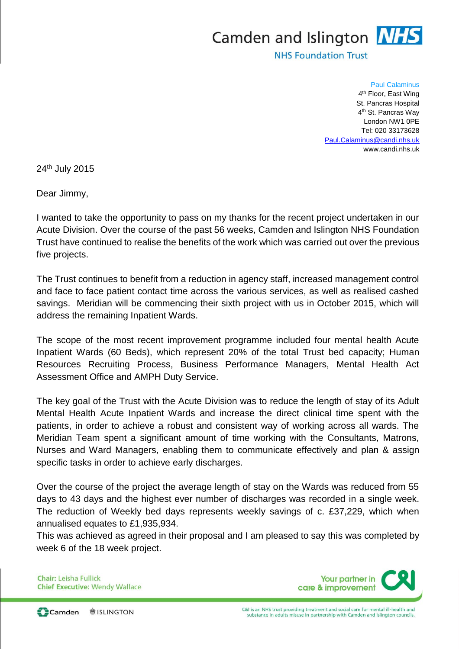## Camden and Islington **NHS**

**NHS Foundation Trust** 

## Paul Calaminus

4<sup>th</sup> Floor, East Wing St. Pancras Hospital 4<sup>th</sup> St. Pancras Way London NW1 0PE Tel: 020 33173628 [Paul.Calaminus@candi.nhs.uk](mailto:Paul.Calaminus@candi.nhs.uk) www.candi.nhs.uk

24th July 2015

Dear Jimmy,

I wanted to take the opportunity to pass on my thanks for the recent project undertaken in our Acute Division. Over the course of the past 56 weeks, Camden and Islington NHS Foundation Trust have continued to realise the benefits of the work which was carried out over the previous five projects.

The Trust continues to benefit from a reduction in agency staff, increased management control and face to face patient contact time across the various services, as well as realised cashed savings. Meridian will be commencing their sixth project with us in October 2015, which will address the remaining Inpatient Wards.

The scope of the most recent improvement programme included four mental health Acute Inpatient Wards (60 Beds), which represent 20% of the total Trust bed capacity; Human Resources Recruiting Process, Business Performance Managers, Mental Health Act Assessment Office and AMPH Duty Service.

The key goal of the Trust with the Acute Division was to reduce the length of stay of its Adult Mental Health Acute Inpatient Wards and increase the direct clinical time spent with the patients, in order to achieve a robust and consistent way of working across all wards. The Meridian Team spent a significant amount of time working with the Consultants, Matrons, Nurses and Ward Managers, enabling them to communicate effectively and plan & assign specific tasks in order to achieve early discharges.

Over the course of the project the average length of stay on the Wards was reduced from 55 days to 43 days and the highest ever number of discharges was recorded in a single week. The reduction of Weekly bed days represents weekly savings of c. £37,229, which when annualised equates to £1,935,934.

This was achieved as agreed in their proposal and I am pleased to say this was completed by week 6 of the 18 week project.